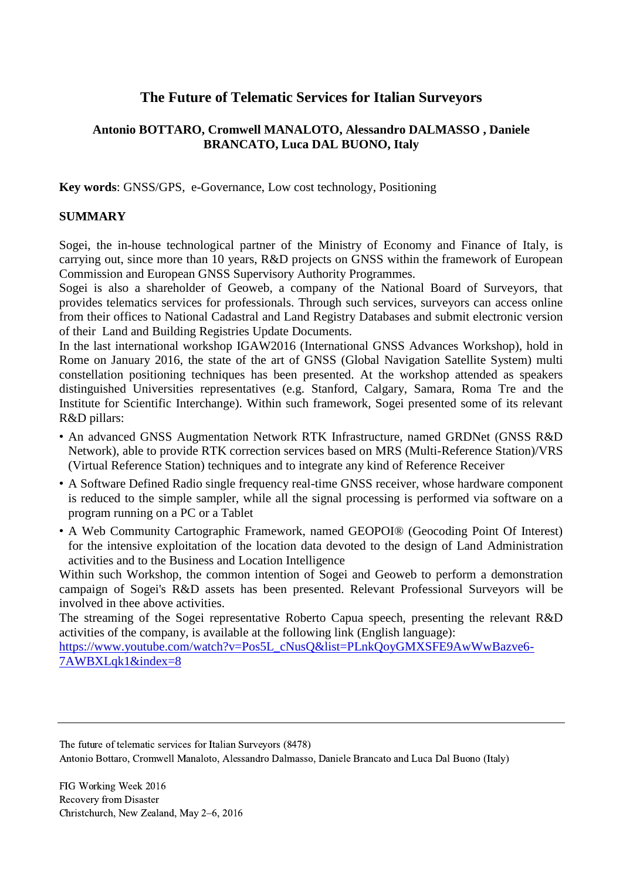# **The Future of Telematic Services for Italian Surveyors**

# **Antonio BOTTARO, Cromwell MANALOTO, Alessandro DALMASSO , Daniele BRANCATO, Luca DAL BUONO, Italy**

**Key words**: GNSS/GPS, e-Governance, Low cost technology, Positioning

## **SUMMARY**

Sogei, the in-house technological partner of the Ministry of Economy and Finance of Italy, is carrying out, since more than 10 years, R&D projects on GNSS within the framework of European Commission and European GNSS Supervisory Authority Programmes.

Sogei is also a shareholder of Geoweb, a company of the National Board of Surveyors, that provides telematics services for professionals. Through such services, surveyors can access online from their offices to National Cadastral and Land Registry Databases and submit electronic version of their Land and Building Registries Update Documents.

In the last international workshop IGAW2016 (International GNSS Advances Workshop), hold in Rome on January 2016, the state of the art of GNSS (Global Navigation Satellite System) multi constellation positioning techniques has been presented. At the workshop attended as speakers distinguished Universities representatives (e.g. Stanford, Calgary, Samara, Roma Tre and the Institute for Scientific Interchange). Within such framework, Sogei presented some of its relevant R&D pillars:

- An advanced GNSS Augmentation Network RTK Infrastructure, named GRDNet (GNSS R&D Network), able to provide RTK correction services based on MRS (Multi-Reference Station)/VRS (Virtual Reference Station) techniques and to integrate any kind of Reference Receiver
- A Software Defined Radio single frequency real-time GNSS receiver, whose hardware component is reduced to the simple sampler, while all the signal processing is performed via software on a program running on a PC or a Tablet
- A Web Community Cartographic Framework, named GEOPOI® (Geocoding Point Of Interest) for the intensive exploitation of the location data devoted to the design of Land Administration activities and to the Business and Location Intelligence

Within such Workshop, the common intention of Sogei and Geoweb to perform a demonstration campaign of Sogei's R&D assets has been presented. Relevant Professional Surveyors will be involved in thee above activities.

The streaming of the Sogei representative Roberto Capua speech, presenting the relevant R&D activities of the company, is available at the following link (English language):

[https://www.youtube.com/watch?v=Pos5L\\_cNusQ&list=PLnkQoyGMXSFE9AwWwBazve6-](https://www.youtube.com/watch?v=Pos5L_cNusQ&list=PLnkQoyGMXSFE9AwWwBazve6-7AWBXLqk1&index=8) [7AWBXLqk1&index=8](https://www.youtube.com/watch?v=Pos5L_cNusQ&list=PLnkQoyGMXSFE9AwWwBazve6-7AWBXLqk1&index=8)

FIG Working Week 2016 Recovery from Disaster Christchurch, New Zealand, May 2–6, 2016

The future of telematic services for Italian Surveyors (8478)

Antonio Bottaro, Cromwell Manaloto, Alessandro Dalmasso, Daniele Brancato and Luca Dal Buono (Italy)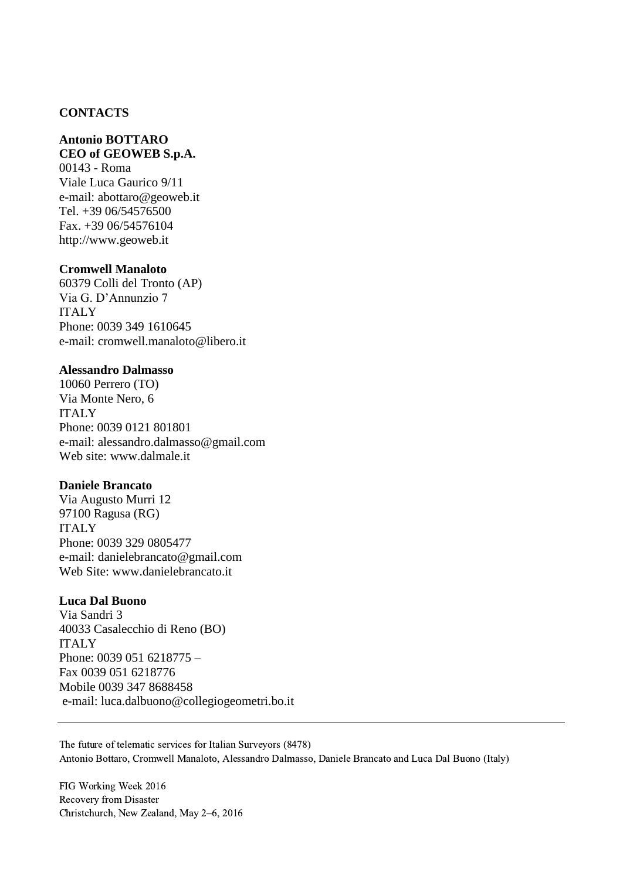## **CONTACTS**

# **Antonio BOTTARO**

# **CEO of GEOWEB S.p.A.**

00143 - Roma Viale Luca Gaurico 9/11 e-mail: [abottaro@geoweb.it](mailto:abottaro@geoweb.it) Tel. +39 06/54576500 Fax. +39 06/54576104 [http://www.geoweb.it](http://www.geoweb.it/)

#### **Cromwell Manaloto**

60379 Colli del Tronto (AP) Via G. D'Annunzio 7 ITALY Phone: 0039 349 1610645 e-mail: cromwell.manaloto@libero.it

#### **Alessandro Dalmasso**

10060 Perrero (TO) Via Monte Nero, 6 ITALY Phone: 0039 0121 801801 e-mail: alessandro.dalmasso@gmail.com Web site: [www.dalmale.it](http://www.dalmale.it/)

### **Daniele Brancato**

Via Augusto Murri 12 97100 Ragusa (RG) ITALY Phone: 0039 329 0805477 e-mail: [danielebrancato@gmail.com](mailto:danielebrancato@gmail.com) Web Site: [www.danielebrancato.it](http://www.danielebrancato.it/)

### **Luca Dal Buono**

Via Sandri 3 40033 Casalecchio di Reno (BO) ITALY Phone: 0039 051 6218775 – Fax 0039 051 6218776 Mobile 0039 347 8688458 e-mail: [luca.dalbuono@collegiogeometri.bo.it](mailto:luca.dalbuono@collegiogeometri.bo.it)

The future of telematic services for Italian Surveyors (8478) Antonio Bottaro, Cromwell Manaloto, Alessandro Dalmasso, Daniele Brancato and Luca Dal Buono (Italy)

FIG Working Week 2016 Recovery from Disaster Christchurch, New Zealand, May 2–6, 2016